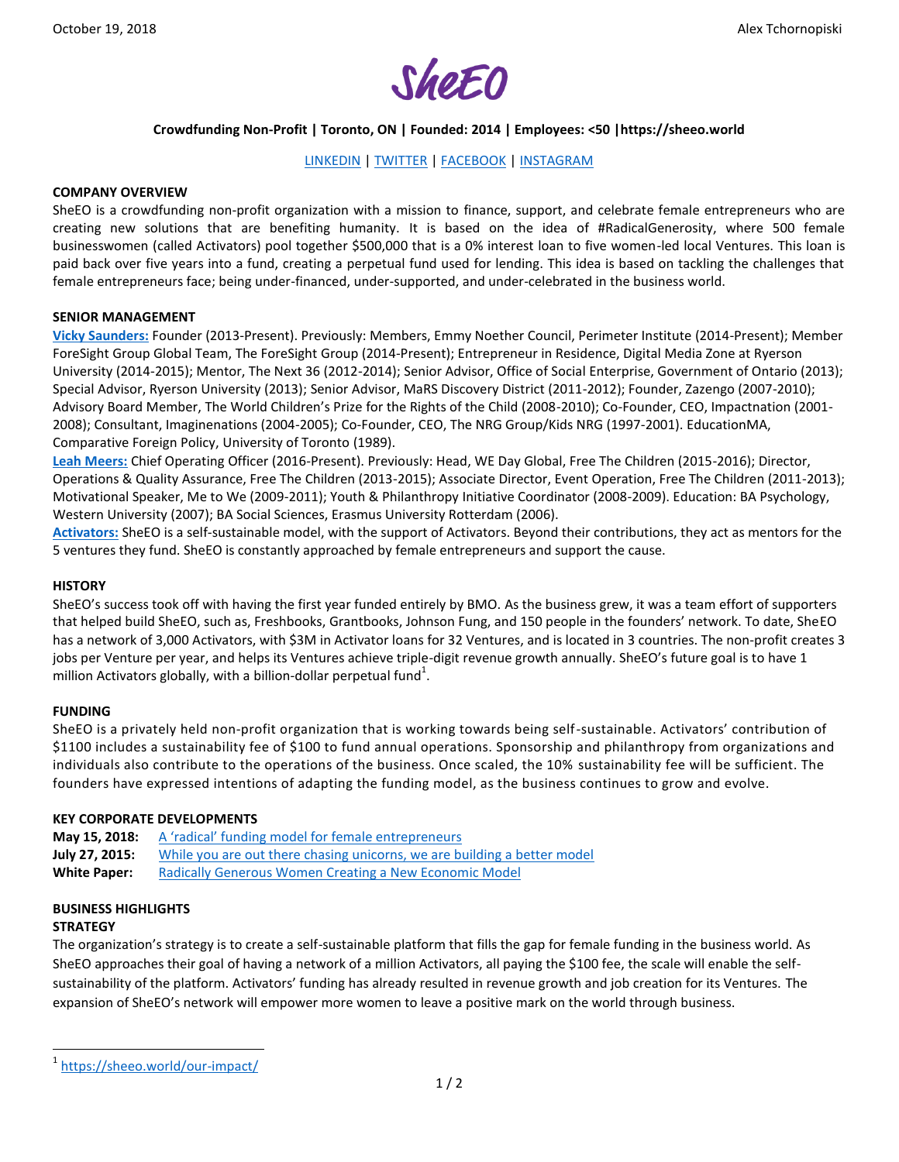

# **Crowdfunding Non-Profit | Toronto, ON | Founded: 2014 | Employees: <50 |https://sheeo.world**

# [LINKEDIN](https://www.linkedin.com/company/sheeo-ca/?originalSubdomain=ca) | [TWITTER](https://twitter.com/sheeo_world?lang=en) [| FACEBOOK](https://www.facebook.com/SheEOWorld/) | [INSTAGRAM](https://www.instagram.com/sheeo_world/?hl=en)

## **COMPANY OVERVIEW**

SheEO is a crowdfunding non-profit organization with a mission to finance, support, and celebrate female entrepreneurs who are creating new solutions that are benefiting humanity. It is based on the idea of #RadicalGenerosity, where 500 female businesswomen (called Activators) pool together \$500,000 that is a 0% interest loan to five women-led local Ventures. This loan is paid back over five years into a fund, creating a perpetual fund used for lending. This idea is based on tackling the challenges that female entrepreneurs face; being under-financed, under-supported, and under-celebrated in the business world.

#### **SENIOR MANAGEMENT**

**[Vicky Saunders:](https://www.linkedin.com/in/vsaunders/?lipi=urn%3Ali%3Apage%3Ad_flagship3_search_srp_people%3BK0ET89RCQ%2BaExusNULCHfg%3D%3D&licu=urn%3Ali%3Acontrol%3Ad_flagship3_search_srp_people-search_srp_result&lici=Mk1uKeW6RJmFhjxOG9IfEw%3D%3D)** Founder (2013-Present). Previously: Members, Emmy Noether Council, Perimeter Institute (2014-Present); Member ForeSight Group Global Team, The ForeSight Group (2014-Present); Entrepreneur in Residence, Digital Media Zone at Ryerson University (2014-2015); Mentor, The Next 36 (2012-2014); Senior Advisor, Office of Social Enterprise, Government of Ontario (2013); Special Advisor, Ryerson University (2013); Senior Advisor, MaRS Discovery District (2011-2012); Founder, Zazengo (2007-2010); Advisory Board Member, The World Children's Prize for the Rights of the Child (2008-2010); Co-Founder, CEO, Impactnation (2001- 2008); Consultant, Imaginenations (2004-2005); Co-Founder, CEO, The NRG Group/Kids NRG (1997-2001). EducationMA, Comparative Foreign Policy, University of Toronto (1989).

**[Leah Meers:](https://www.linkedin.com/in/leah-meers-392599112/)** Chief Operating Officer (2016-Present). Previously: Head, WE Day Global, Free The Children (2015-2016); Director, Operations & Quality Assurance, Free The Children (2013-2015); Associate Director, Event Operation, Free The Children (2011-2013); Motivational Speaker, Me to We (2009-2011); Youth & Philanthropy Initiative Coordinator (2008-2009). Education: BA Psychology, Western University (2007); BA Social Sciences, Erasmus University Rotterdam (2006).

**[Activators:](https://sheeo.world/activators/how-it-works/)** SheEO is a self-sustainable model, with the support of Activators. Beyond their contributions, they act as mentors for the 5 ventures they fund. SheEO is constantly approached by female entrepreneurs and support the cause.

#### **HISTORY**

SheEO's success took off with having the first year funded entirely by BMO. As the business grew, it was a team effort of supporters that helped build SheEO, such as, Freshbooks, Grantbooks, Johnson Fung, and 150 people in the founders' network. To date, SheEO has a network of 3,000 Activators, with \$3M in Activator loans for 32 Ventures, and is located in 3 countries. The non-profit creates 3 jobs per Venture per year, and helps its Ventures achieve triple-digit revenue growth annually. SheEO's future goal is to have 1 million Activators globally, with a billion-dollar perpetual fund $^1$ .

### **FUNDING**

SheEO is a privately held non-profit organization that is working towards being self-sustainable. Activators' contribution of \$1100 includes a sustainability fee of \$100 to fund annual operations. Sponsorship and philanthropy from organizations and individuals also contribute to the operations of the business. Once scaled, the 10% sustainability fee will be sufficient. The founders have expressed intentions of adapting the funding model, as the business continues to grow and evolve.

### **KEY CORPORATE DEVELOPMENTS**

**May 15, 2018:** [A 'radical' funding model for female entrepreneurs](https://www.theglobeandmail.com/report-on-business/new-program-aims-to-help-women-help-other-women/article25715230/) **July 27, 2015:** [While you are out there chasing unicorns, we are building a better model](https://medium.com/@vickis/while-you-are-out-there-chasing-unicorns-55a75686cd43) White Paper: [Radically Generous Women Creating a New Economic Model](http://sheeo.world/wp-content/uploads/2017/06/WhitePaper-Nov620161.pdf)

### **BUSINESS HIGHLIGHTS STRATEGY**

 $\overline{a}$ 

The organization's strategy is to create a self-sustainable platform that fills the gap for female funding in the business world. As SheEO approaches their goal of having a network of a million Activators, all paying the \$100 fee, the scale will enable the selfsustainability of the platform. Activators' funding has already resulted in revenue growth and job creation for its Ventures. The expansion of SheEO's network will empower more women to leave a positive mark on the world through business.

<sup>1</sup> <https://sheeo.world/our-impact/>